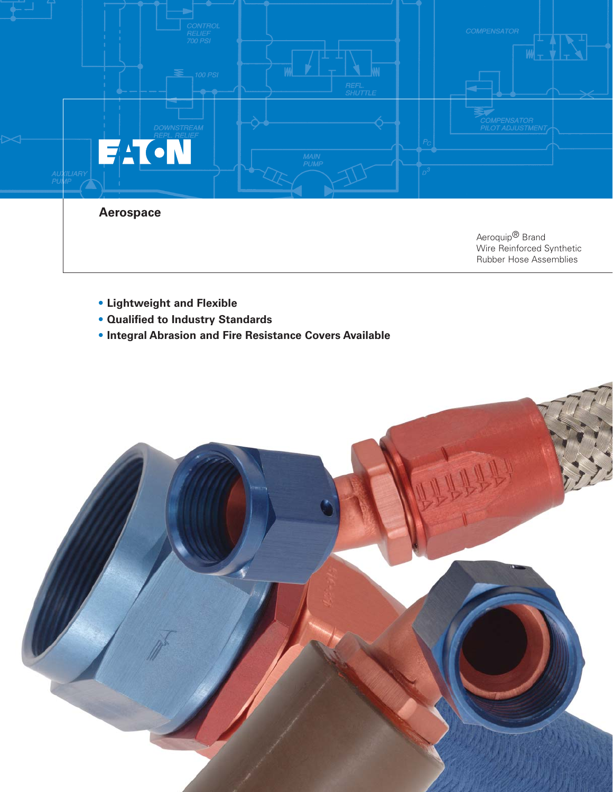

- **Lightweight and Flexible**
- **Qualified to Industry Standards**
- **Integral Abrasion and Fire Resistance Covers Available**

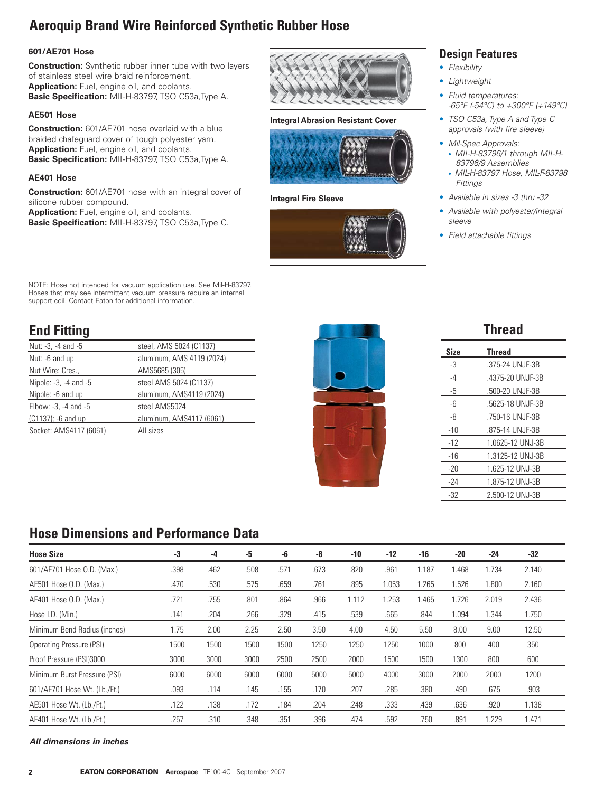## **Aeroquip Brand Wire Reinforced Synthetic Rubber Hose**

#### **601/AE701 Hose**

**Construction:** Synthetic rubber inner tube with two layers of stainless steel wire braid reinforcement. **Application:** Fuel, engine oil, and coolants. **Basic Specification:** MIL-H-83797, TSO C53a,Type A.

#### **AE501 Hose**

**Construction:** 601/AE701 hose overlaid with a blue braided chafeguard cover of tough polyester yarn. **Application:** Fuel, engine oil, and coolants. **Basic Specification:** MIL-H-83797, TSO C53a,Type A.

#### **AE401 Hose**

**Construction:** 601/AE701 hose with an integral cover of silicone rubber compound.

**Application:** Fuel, engine oil, and coolants. **Basic Specification:** MIL-H-83797, TSO C53a,Type C.

NOTE: Hose not intended for vacuum application use. See Mil-H-83797. Hoses that may see intermittent vacuum pressure require an internal support coil. Contact Eaton for additional information.

## **End Fitting**

| Nut: -3, -4 and -5     | steel, AMS 5024 (C1137)   |
|------------------------|---------------------------|
| Nut: -6 and up         | aluminum, AMS 4119 (2024) |
| Nut Wire: Cres.,       | AMS5685 (305)             |
| Nipple: -3, -4 and -5  | steel AMS 5024 (C1137)    |
| Nipple: -6 and up      | aluminum, AMS4119 (2024)  |
| Elbow: -3, -4 and -5   | steel AMS5024             |
| (C1137); -6 and up     | aluminum, AMS4117 (6061)  |
| Socket: AMS4117 (6061) | All sizes                 |



#### **Integral Abrasion Resistant Cover**



**Integral Fire Sleeve**



### **Design Features**

- • *Flexibility*
- • *Lightweight*
- • *Fluid temperatures: -65°F (-54°C) to +300°F (+149°C)*
- • *TSO C53a, Type A and Type C approvals (with fire sleeve)*
- *Mil-Spec Approvals:*
	- *MIL-H-83796/1 through MIL-H- 83796/9 Assemblies*
	- *MIL-H-83797 Hose, MIL-F-83798 Fittings*
- *Available in sizes -3 thru -32*
- *Available with polyester/integral sleeve*
- *Field attachable fittings*

**Thread**

| <b>Size</b> | <b>Thread</b>    |
|-------------|------------------|
| -3          | .375-24 UNJF-3B  |
| -4          | .4375-20 UNJF-3B |
| -5          | .500-20 UNJF-3B  |
| -6          | .5625-18 UNJF-3B |
| -8          | .750-16 UNJF-3B  |
| $-10$       | .875-14 UNJF-3B  |
| $-12$       | 1.0625-12 UNJ-3B |
| -16         | 1.3125-12 UNJ-3B |
| -20         | 1.625-12 UNJ-3B  |
| -24         | 1.875-12 UNJ-3B  |
| -32         | 2.500-12 UNJ-3B  |

### **Hose Dimensions and Performance Data**

| <b>Hose Size</b>             | -3   | -4   | -5   | -6   | -8   | $-10$ | $-12$ | $-16$ | $-20$ | $-24$ | $-32$ |
|------------------------------|------|------|------|------|------|-------|-------|-------|-------|-------|-------|
| 601/AE701 Hose O.D. (Max.)   | .398 | .462 | .508 | .571 | .673 | .820  | .961  | 1.187 | 1.468 | 1.734 | 2.140 |
| AE501 Hose O.D. (Max.)       | .470 | .530 | .575 | .659 | .761 | .895  | 1.053 | 1.265 | 1.526 | 1.800 | 2.160 |
| AE401 Hose O.D. (Max.)       | .721 | .755 | .801 | .864 | .966 | 1.112 | .253  | 1.465 | 1.726 | 2.019 | 2.436 |
| Hose I.D. (Min.)             | .141 | .204 | .266 | .329 | .415 | .539  | .665  | .844  | 1.094 | 1.344 | 1.750 |
| Minimum Bend Radius (inches) | 1.75 | 2.00 | 2.25 | 2.50 | 3.50 | 4.00  | 4.50  | 5.50  | 8.00  | 9.00  | 12.50 |
| Operating Pressure (PSI)     | 1500 | 1500 | 1500 | 1500 | 1250 | 1250  | 1250  | 1000  | 800   | 400   | 350   |
| Proof Pressure (PSI)3000     | 3000 | 3000 | 3000 | 2500 | 2500 | 2000  | 1500  | 1500  | 1300  | 800   | 600   |
| Minimum Burst Pressure (PSI) | 6000 | 6000 | 6000 | 6000 | 5000 | 5000  | 4000  | 3000  | 2000  | 2000  | 1200  |
| 601/AE701 Hose Wt. (Lb./Ft.) | .093 | .114 | .145 | .155 | .170 | .207  | .285  | .380  | .490  | .675  | .903  |
| AE501 Hose Wt. (Lb./Ft.)     | .122 | .138 | .172 | .184 | .204 | .248  | .333  | .439  | .636  | .920  | 1.138 |
| AE401 Hose Wt. (Lb./Ft.)     | .257 | .310 | .348 | .351 | .396 | .474  | .592  | .750  | .891  | 1.229 | 1.471 |

*All dimensions in inches*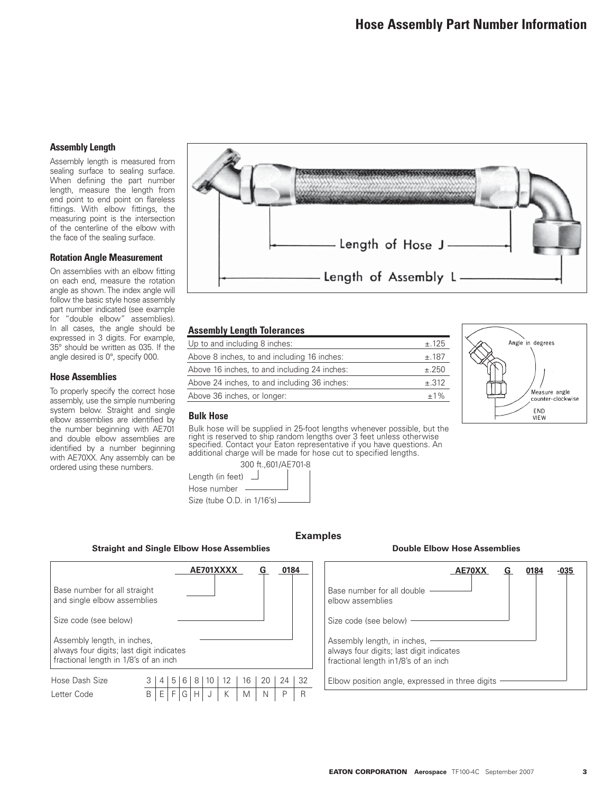#### **Assembly Length**

Assembly length is measured from sealing surface to sealing surface. When defining the part number length, measure the length from end point to end point on flareless fittings. With elbow fittings, the measuring point is the intersection of the centerline of the elbow with the face of the sealing surface.

#### **Rotation Angle Measurement**

On assemblies with an elbow fitting on each end, measure the rotation angle as shown. The index angle will follow the basic style hose assembly part number indicated (see example for "double elbow" assemblies). In all cases, the angle should be expressed in 3 digits. For example, 35° should be written as 035. If the angle desired is 0°, specify 000.

#### **Hose Assemblies**

To properly specify the correct hose assembly, use the simple numbering system below. Straight and single elbow assemblies are identified by the number beginning with AE701 and double elbow assemblies are identified by a number beginning with AE70XX. Any assembly can be ordered using these numbers.



#### **Assembly Length Tolerances**

| Up to and including 8 inches:                |        |  |  |  |  |  |
|----------------------------------------------|--------|--|--|--|--|--|
| Above 8 inches, to and including 16 inches:  | + 187  |  |  |  |  |  |
| Above 16 inches, to and including 24 inches: | + 250  |  |  |  |  |  |
| Above 24 inches, to and including 36 inches: | $+312$ |  |  |  |  |  |
| Above 36 inches, or longer:                  | $+1\%$ |  |  |  |  |  |

#### **Bulk Hose**



Bulk hose will be supplied in 25-foot lengths whenever possible, but the right is reserved to ship random lengths over 3 feet unless otherwise specified. Contact your Eaton representative if you have questions. An additional charge will be made for hose cut to specified lengths.



#### **Examples**

#### **Straight and Single Elbow Hose Assemblies Double Elbow Hose Assemblies**

|                                                                                                                  | AE701XXXX<br>G                                                                    | 0184    |          | <b>AE70XX</b><br>$-035$<br>0184                                                                                   |
|------------------------------------------------------------------------------------------------------------------|-----------------------------------------------------------------------------------|---------|----------|-------------------------------------------------------------------------------------------------------------------|
| Base number for all straight<br>and single elbow assemblies                                                      |                                                                                   |         |          | Base number for all double<br>elbow assemblies                                                                    |
| Size code (see below)                                                                                            |                                                                                   |         |          | Size code (see below)                                                                                             |
| Assembly length, in inches,<br>always four digits; last digit indicates<br>fractional length in 1/8's of an inch |                                                                                   |         |          | Assembly length, in inches, -<br>always four digits; last digit indicates<br>fractional length in1/8's of an inch |
| Hose Dash Size<br>B<br>Letter Code                                                                               | 568<br>10<br>$\vert$ 12<br>16<br>20<br>4<br>E<br>K<br>G<br>$\mathsf{H}$<br>M<br>N | 24<br>P | -32<br>R | Elbow position angle, expressed in three digits                                                                   |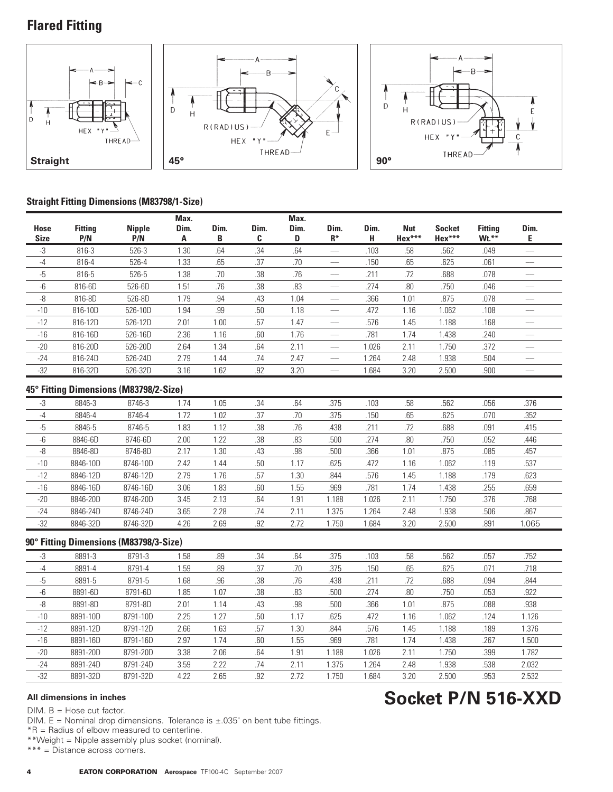## **Flared Fitting**



### **Straight Fitting Dimensions (M83798/1-Size)**

|                     |                       |                                        | Max.      |           |           | Max.      |                          |           |                      |                  |                           |                          |
|---------------------|-----------------------|----------------------------------------|-----------|-----------|-----------|-----------|--------------------------|-----------|----------------------|------------------|---------------------------|--------------------------|
| Hose<br><b>Size</b> | <b>Fitting</b><br>P/N | <b>Nipple</b><br>P/N                   | Dim.<br>Α | Dim.<br>В | Dim.<br>C | Dim.<br>D | Dim.<br>$R^*$            | Dim.<br>н | <b>Nut</b><br>Hex*** | Socket<br>Hex*** | <b>Fitting</b><br>$Wt.**$ | Dim.<br>E                |
| $-3$                | 816-3                 | 526-3                                  | 1.30      | .64       | .34       | .64       | $\overline{\phantom{0}}$ | .103      | .58                  | .562             | .049                      |                          |
| $-4$                | 816-4                 | 526-4                                  | 1.33      | .65       | .37       | .70       |                          | .150      | .65                  | .625             | .061                      |                          |
| $-5$                | 816-5                 | 526-5                                  | 1.38      | .70       | .38       | .76       | $\qquad \qquad$          | .211      | .72                  | .688             | .078                      |                          |
| -6                  | 816-6D                | 526-6D                                 | 1.51      | .76       | .38       | .83       |                          | .274      | .80                  | .750             | .046                      |                          |
| $-8$                | 816-8D                | 526-8D                                 | 1.79      | .94       | .43       | 1.04      | $\qquad \qquad -$        | .366      | 1.01                 | .875             | .078                      |                          |
| $-10$               | 816-10D               | 526-10D                                | 1.94      | .99       | .50       | 1.18      | $\qquad \qquad$          | .472      | 1.16                 | 1.062            | .108                      | $\qquad \qquad$          |
| $-12$               | 816-12D               | 526-12D                                | 2.01      | 1.00      | .57       | 1.47      |                          | .576      | 1.45                 | 1.188            | .168                      | $\overline{\phantom{0}}$ |
| $-16$               | 816-16D               | 526-16D                                | 2.36      | 1.16      | .60       | 1.76      |                          | .781      | 1.74                 | 1.438            | .240                      |                          |
| $-20$               | 816-20D               | 526-20D                                | 2.64      | 1.34      | .64       | 2.11      |                          | 1.026     | 2.11                 | 1.750            | .372                      |                          |
| $-24$               | 816-24D               | 526-24D                                | 2.79      | 1.44      | .74       | 2.47      |                          | 1.264     | 2.48                 | 1.938            | .504                      |                          |
| $-32$               | 816-32D               | 526-32D                                | 3.16      | 1.62      | .92       | 3.20      |                          | 1.684     | 3.20                 | 2.500            | .900                      |                          |
|                     |                       | 45° Fitting Dimensions (M83798/2-Size) |           |           |           |           |                          |           |                      |                  |                           |                          |
| -3                  | 8846-3                | 8746-3                                 | 1.74      | 1.05      | .34       | .64       | .375                     | .103      | .58                  | .562             | .056                      | .376                     |
| $-4$                | 8846-4                | 8746-4                                 | 1.72      | 1.02      | .37       | .70       | .375                     | .150      | .65                  | .625             | .070                      | .352                     |
| $-5$                | 8846-5                | 8746-5                                 | 1.83      | 1.12      | .38       | .76       | .438                     | .211      | .72                  | .688             | .091                      | .415                     |
| -6                  | 8846-6D               | 8746-6D                                | 2.00      | 1.22      | .38       | .83       | .500                     | .274      | .80                  | .750             | .052                      | .446                     |
| -8                  | 8846-8D               | 8746-8D                                | 2.17      | 1.30      | .43       | .98       | .500                     | .366      | 1.01                 | .875             | .085                      | .457                     |
| $-10$               | 8846-10D              | 8746-10D                               | 2.42      | 1.44      | .50       | 1.17      | .625                     | .472      | 1.16                 | 1.062            | .119                      | .537                     |
| $-12$               | 8846-12D              | 8746-12D                               | 2.79      | 1.76      | .57       | 1.30      | .844                     | .576      | 1.45                 | 1.188            | .179                      | .623                     |
| $-16$               | 8846-16D              | 8746-16D                               | 3.06      | 1.83      | .60       | 1.55      | .969                     | .781      | 1.74                 | 1.438            | .255                      | .659                     |
| $-20$               | 8846-20D              | 8746-20D                               | 3.45      | 2.13      | .64       | 1.91      | 1.188                    | 1.026     | 2.11                 | 1.750            | .376                      | .768                     |
| $-24$               | 8846-24D              | 8746-24D                               | 3.65      | 2.28      | .74       | 2.11      | 1.375                    | 1.264     | 2.48                 | 1.938            | .506                      | .867                     |
| $-32$               | 8846-32D              | 8746-32D                               | 4.26      | 2.69      | .92       | 2.72      | 1.750                    | 1.684     | 3.20                 | 2.500            | .891                      | 1.065                    |
|                     |                       | 90° Fitting Dimensions (M83798/3-Size) |           |           |           |           |                          |           |                      |                  |                           |                          |
| $-3$                | 8891-3                | 8791-3                                 | 1.58      | .89       | .34       | .64       | .375                     | .103      | .58                  | .562             | .057                      | .752                     |
| $-4$                | 8891-4                | 8791-4                                 | 1.59      | .89       | .37       | .70       | 375                      | .150      | .65                  | .625             | .071                      | .718                     |
| $-5$                | 8891-5                | 8791-5                                 | 1.68      | .96       | .38       | .76       | .438                     | .211      | .72                  | .688             | .094                      | .844                     |
| -6                  | 8891-6D               | 8791-6D                                | 1.85      | 1.07      | .38       | .83       | .500                     | .274      | .80                  | .750             | .053                      | .922                     |
| -8                  | 8891-8D               | 8791-8D                                | 2.01      | 1.14      | .43       | .98       | .500                     | .366      | 1.01                 | .875             | .088                      | .938                     |
| $-10$               | 8891-10D              | 8791-10D                               | 2.25      | 1.27      | .50       | 1.17      | .625                     | .472      | 1.16                 | 1.062            | .124                      | 1.126                    |
| $-12$               | 8891-12D              | 8791-12D                               | 2.66      | 1.63      | .57       | 1.30      | .844                     | .576      | 1.45                 | 1.188            | .189                      | 1.376                    |
| $-16$               | 8891-16D              | 8791-16D                               | 2.97      | 1.74      | .60       | 1.55      | .969                     | .781      | 1.74                 | 1.438            | .267                      | 1.500                    |
| $-20$               | 8891-20D              | 8791-20D                               | 3.38      | 2.06      | .64       | 1.91      | 1.188                    | 1.026     | 2.11                 | 1.750            | .399                      | 1.782                    |
| $-24$               | 8891-24D              | 8791-24D                               | 3.59      | 2.22      | .74       | 2.11      | 1.375                    | 1.264     | 2.48                 | 1.938            | .538                      | 2.032                    |
| $-32$               | 8891-32D              | 8791-32D                               | 4.22      | 2.65      | .92       | 2.72      | 1.750                    | 1.684     | 3.20                 | 2.500            | .953                      | 2.532                    |

#### **All dimensions in inches**

DIM. B = Hose cut factor.

DIM.  $E =$  Nominal drop dimensions. Tolerance is  $\pm .035$ " on bent tube fittings.

\*R = Radius of elbow measured to centerline.

\*\*Weight = Nipple assembly plus socket (nominal).

\*\*\* = Distance across corners.

## **Socket P/N 516-XXD**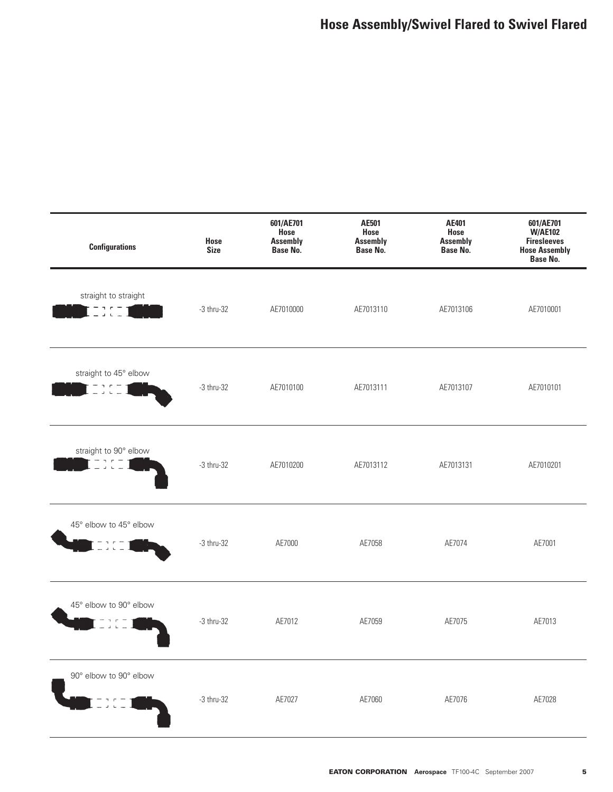| <b>Configurations</b>  | Hose<br><b>Size</b> | 601/AE701<br>Hose<br><b>Assembly</b><br>Base No. | AE501<br>Hose<br><b>Assembly</b><br><b>Base No.</b> | AE401<br>Hose<br><b>Assembly</b><br>Base No. | 601/AE701<br><b>W/AE102</b><br><b>Firesleeves</b><br><b>Hose Assembly</b><br><b>Base No.</b> |
|------------------------|---------------------|--------------------------------------------------|-----------------------------------------------------|----------------------------------------------|----------------------------------------------------------------------------------------------|
| straight to straight   | -3 thru-32          | AE7010000                                        | AE7013110                                           | AE7013106                                    | AE7010001                                                                                    |
| straight to 45° elbow  | $-3$ thru $-32$     | AE7010100                                        | AE7013111                                           | AE7013107                                    | AE7010101                                                                                    |
| straight to 90° elbow  | $-3$ thru $-32$     | AE7010200                                        | AE7013112                                           | AE7013131                                    | AE7010201                                                                                    |
| 45° elbow to 45° elbow | -3 thru-32          | AE7000                                           | AE7058                                              | AE7074                                       | AE7001                                                                                       |
| 45° elbow to 90° elbow | -3 thru-32          | AE7012                                           | AE7059                                              | AE7075                                       | AE7013                                                                                       |
| 90° elbow to 90° elbow | -3 thru-32          | AE7027                                           | AE7060                                              | AE7076                                       | AE7028                                                                                       |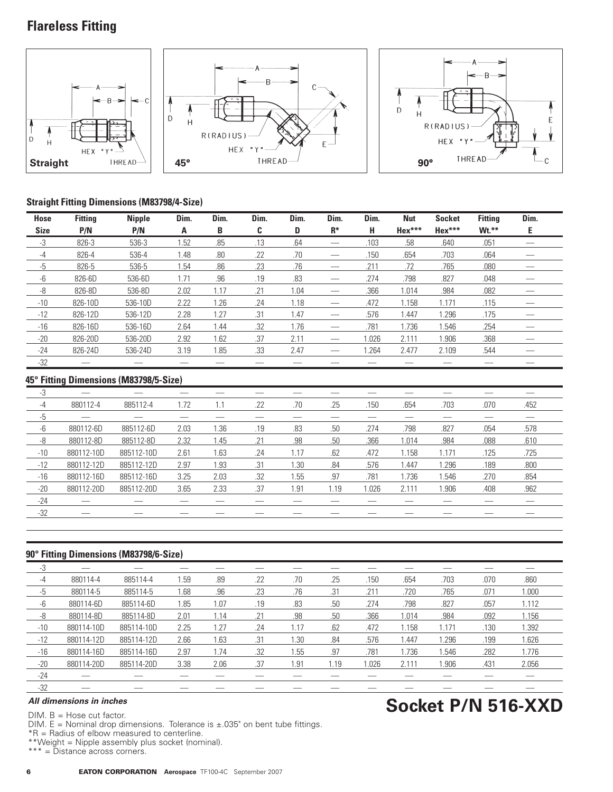## **Flareless Fitting**



#### **Straight Fitting Dimensions (M83798/4-Size)**

| Hose        | <b>Fitting</b> | <b>Nipple</b>                          | Dim. | Dim. | Dim. | Dim. | Dim.  | Dim.  | Nut                      | <b>Socket</b> | <b>Fitting</b> | Dim. |
|-------------|----------------|----------------------------------------|------|------|------|------|-------|-------|--------------------------|---------------|----------------|------|
| <b>Size</b> | P/N            | P/N                                    | A    | В    | C    | D    | $R^*$ | н     | Hex***                   | Hex***        | $Wt.**$        | Е    |
| $-3$        | 826-3          | 536-3                                  | 1.52 | .85  | .13  | .64  |       | .103  | .58                      | .640          | .051           |      |
| $-4$        | 826-4          | 536-4                                  | 1.48 | .80  | .22  | .70  |       | .150  | .654                     | .703          | .064           |      |
| -5          | 826-5          | 536-5                                  | 1.54 | .86  | .23  | .76  | --    | .211  | .72                      | .765          | .080           |      |
| -6          | 826-6D         | 536-6D                                 | 1.71 | .96  | .19  | .83  |       | .274  | .798                     | .827          | .048           |      |
| -8          | 826-8D         | 536-8D                                 | 2.02 | 1.17 | .21  | 1.04 |       | .366  | 1.014                    | .984          | .082           |      |
| $-10$       | 826-10D        | 536-10D                                | 2.22 | 1.26 | .24  | 1.18 |       | .472  | 1.158                    | 1.171         | .115           |      |
| $-12$       | 826-12D        | 536-12D                                | 2.28 | 1.27 | .31  | 1.47 |       | .576  | 1.447                    | 1.296         | .175           |      |
| $-16$       | 826-16D        | 536-16D                                | 2.64 | 1.44 | .32  | 1.76 |       | .781  | 1.736                    | 1.546         | .254           |      |
| $-20$       | 826-20D        | 536-20D                                | 2.92 | 1.62 | .37  | 2.11 |       | 1.026 | 2.111                    | 1.906         | .368           |      |
| $-24$       | 826-24D        | 536-24D                                | 3.19 | 1.85 | .33  | 2.47 |       | 1.264 | 2.477                    | 2.109         | .544           |      |
| $-32$       |                |                                        |      |      |      |      |       |       |                          |               |                |      |
|             |                | 45° Fitting Dimensions (M83798/5-Size) |      |      |      |      |       |       |                          |               |                |      |
| -3          |                |                                        |      |      |      |      |       |       |                          |               |                |      |
| $-4$        | 880112-4       | 885112-4                               | 1.72 | 1.1  | .22  | .70  | .25   | .150  | .654                     | .703          | .070           | .452 |
| $-5$        |                |                                        |      |      |      |      |       |       | $\overline{\phantom{0}}$ |               |                |      |
| -6          | 880112-6D      | 885112-6D                              | 2.03 | 1.36 | .19  | .83  | .50   | .274  | .798                     | .827          | .054           | .578 |
| -8          | 880112-8D      | 885112-8D                              | 2.32 | 1.45 | .21  | .98  | .50   | .366  | 1.014                    | .984          | .088           | .610 |

| 880112-6D<br>. 36<br>.19<br>.274<br>.798<br>.827<br>-6<br>2.03<br>.054<br>.578<br>885112-6D<br>.83<br>.50<br>880112-8D<br>.366<br>.610<br>885112-8D<br>2.32<br>i.45<br>.21<br>.98<br>.984<br>-8<br>.50<br>.014<br>.088<br>880112-10D<br>.24<br>885112-10D<br>2.61<br>.472<br>.158<br>1.171<br>.725<br>$-10$<br>1.63<br>1.17<br>.62<br>.125<br>.576<br>.296<br>.800<br>880112-12D<br>2.97<br>.31<br>.30<br>$-12$<br>885112-12D<br>1.93<br>.84<br>.447<br>.189<br>.32<br>880112-16D<br>2.03<br>.55<br>.781<br>.270<br>.854<br>885112-16D<br>3.25<br>.97<br>.736<br>.546<br>$-16$<br>.37<br>880112-20D<br>2.33<br>1.91<br>.906<br>.962<br>$-20$<br>885112-20D<br>3.65<br>.026<br>. . 19<br>2.111<br>.408<br>$-24$<br>$-32$ | -ن |  |  |  |  |  |  |  |
|-------------------------------------------------------------------------------------------------------------------------------------------------------------------------------------------------------------------------------------------------------------------------------------------------------------------------------------------------------------------------------------------------------------------------------------------------------------------------------------------------------------------------------------------------------------------------------------------------------------------------------------------------------------------------------------------------------------------------|----|--|--|--|--|--|--|--|
|                                                                                                                                                                                                                                                                                                                                                                                                                                                                                                                                                                                                                                                                                                                         |    |  |  |  |  |  |  |  |
|                                                                                                                                                                                                                                                                                                                                                                                                                                                                                                                                                                                                                                                                                                                         |    |  |  |  |  |  |  |  |
|                                                                                                                                                                                                                                                                                                                                                                                                                                                                                                                                                                                                                                                                                                                         |    |  |  |  |  |  |  |  |
|                                                                                                                                                                                                                                                                                                                                                                                                                                                                                                                                                                                                                                                                                                                         |    |  |  |  |  |  |  |  |
|                                                                                                                                                                                                                                                                                                                                                                                                                                                                                                                                                                                                                                                                                                                         |    |  |  |  |  |  |  |  |
|                                                                                                                                                                                                                                                                                                                                                                                                                                                                                                                                                                                                                                                                                                                         |    |  |  |  |  |  |  |  |
|                                                                                                                                                                                                                                                                                                                                                                                                                                                                                                                                                                                                                                                                                                                         |    |  |  |  |  |  |  |  |
|                                                                                                                                                                                                                                                                                                                                                                                                                                                                                                                                                                                                                                                                                                                         |    |  |  |  |  |  |  |  |

|  | 90° Fitting Dimensions (M83798/6-Size) |
|--|----------------------------------------|
|  |                                        |

| -3    |            |            |      |      |     |      |      |       |       |       |      |       |
|-------|------------|------------|------|------|-----|------|------|-------|-------|-------|------|-------|
| $-4$  | 880114-4   | 885114-4   | 1.59 | .89  | .22 | .70  | .25  | .150  | .654  | .703  | .070 | .860  |
| -5    | 880114-5   | 885114-5   | 1.68 | .96  | .23 | .76  | .31  | .211  | .720  | .765  | .071 | 1.000 |
| -6    | 880114-6D  | 885114-6D  | 1.85 | 1.07 | .19 | .83  | .50  | .274  | .798  | .827  | .057 | 1.112 |
| -8    | 880114-8D  | 885114-8D  | 2.01 | 1.14 | .21 | .98  | .50  | .366  | 1.014 | .984  | .092 | 1.156 |
| $-10$ | 880114-10D | 885114-10D | 2.25 | 1.27 | .24 | 1.17 | .62  | .472  | 1.158 | 1.171 | .130 | 1.392 |
| $-12$ | 880114-12D | 885114-12D | 2.66 | 1.63 | .31 | 1.30 | .84  | .576  | 1.447 | 1.296 | .199 | 1.626 |
| $-16$ | 880114-16D | 885114-16D | 2.97 | 1.74 | .32 | 1.55 | .97  | .781  | 1.736 | 1.546 | .282 | 1.776 |
| $-20$ | 880114-20D | 885114-20D | 3.38 | 2.06 | .37 | 1.91 | 1.19 | 1.026 | 2.111 | 1.906 | .431 | 2.056 |
| $-24$ |            |            |      |      |     |      |      |       |       |       |      |       |
| $-32$ |            |            |      |      |     |      |      |       |       |       |      |       |

#### *All dimensions in inches*

DIM. B = Hose cut factor.

DIM.  $E =$  Nominal drop dimensions. Tolerance is  $\pm$  0.05" on bent tube fittings.

\*R = Radius of elbow measured to centerline.

\*\*Weight = Nipple assembly plus socket (nominal).

\*\*\* = Distance across corners.

## **Socket P/N 516-XXD**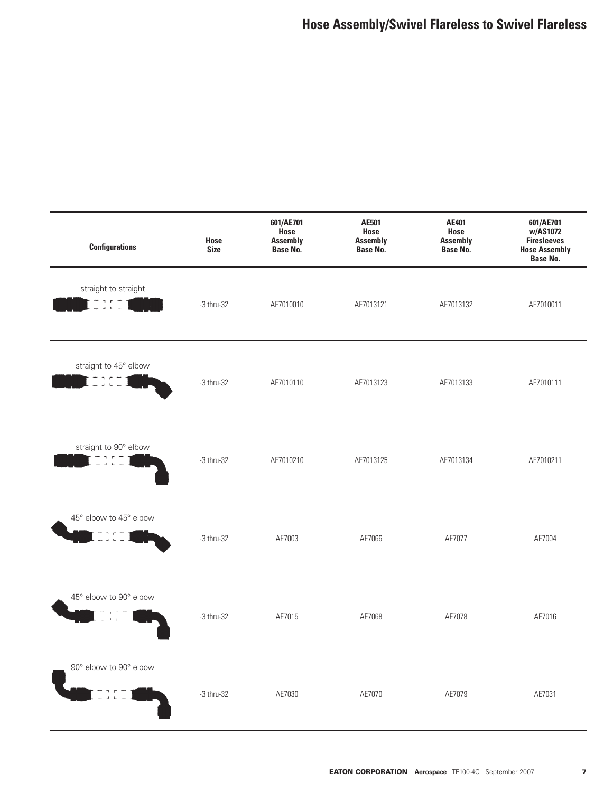| <b>Configurations</b>                                              | Hose<br><b>Size</b> | 601/AE701<br>Hose<br><b>Assembly</b><br>Base No. | AE501<br>Hose<br><b>Assembly</b><br>Base No. | AE401<br>Hose<br><b>Assembly</b><br>Base No. | 601/AE701<br>w/AS1072<br><b>Firesleeves</b><br><b>Hose Assembly</b><br><b>Base No.</b> |
|--------------------------------------------------------------------|---------------------|--------------------------------------------------|----------------------------------------------|----------------------------------------------|----------------------------------------------------------------------------------------|
| straight to straight<br>$\mathbf{t}$<br>$\overline{a}$<br>$\Delta$ | $-3$ thru $-32$     | AE7010010                                        | AE7013121                                    | AE7013132                                    | AE7010011                                                                              |
| straight to 45° elbow                                              | $-3$ thru $-32$     | AE7010110                                        | AE7013123                                    | AE7013133                                    | AE7010111                                                                              |
| straight to 90° elbow                                              | $-3$ thru $-32$     | AE7010210                                        | AE7013125                                    | AE7013134                                    | AE7010211                                                                              |
| 45° elbow to 45° elbow                                             | $-3$ thru $-32$     | AE7003                                           | AE7066                                       | AE7077                                       | AE7004                                                                                 |
| 45° elbow to 90° elbow                                             | $-3$ thru $-32$     | AE7015                                           | AE7068                                       | AE7078                                       | AE7016                                                                                 |
| 90° elbow to 90° elbow                                             | $-3$ thru $-32$     | AE7030                                           | AE7070                                       | AE7079                                       | AE7031                                                                                 |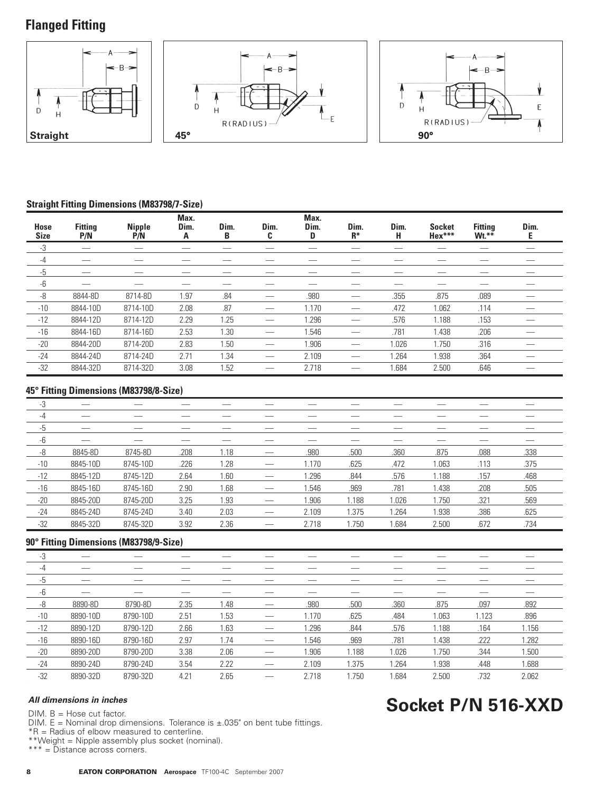## **Flanged Fitting**



#### **Straight Fitting Dimensions (M83798/7-Size)**

| Hose<br><b>Size</b> | <b>Fitting</b><br>P/N | <b>Nipple</b><br>P/N                          | Max.<br>Dim.<br>A | Dim.<br>в | Dim.<br>u | Max.<br>Dim.<br>D | Dim.<br>$R^*$ | Dim.  | <b>Socket</b><br>Hex***  | <b>Fitting</b><br>$Wt.**$ | Dim. |
|---------------------|-----------------------|-----------------------------------------------|-------------------|-----------|-----------|-------------------|---------------|-------|--------------------------|---------------------------|------|
| -3                  | $-$                   | $\qquad \qquad \overbrace{\qquad \qquad }^{}$ | $\sim$            |           |           |                   |               |       | $\overline{\phantom{a}}$ | ---                       |      |
| $-4$                | ---                   |                                               |                   |           |           |                   |               |       |                          |                           |      |
| $-5$                | ---                   | __                                            |                   |           |           |                   |               |       |                          |                           |      |
| -6                  |                       |                                               |                   |           |           |                   |               |       |                          |                           |      |
| -8                  | 8844-8D               | 8714-8D                                       | 1.97              | .84       |           | .980              | ——            | .355  | .875                     | .089                      |      |
| $-10$               | 8844-10D              | 8714-10D                                      | 2.08              | .87       | $-$       | 1.170             | $-$           | .472  | 1.062                    | .114                      |      |
| $-12$               | 8844-12D              | 8714-12D                                      | 2.29              | 1.25      |           | 1.296             |               | .576  | 1.188                    | .153                      |      |
| $-16$               | 8844-16D              | 8714-16D                                      | 2.53              | 1.30      |           | 1.546             |               | .781  | 1.438                    | .206                      |      |
| $-20$               | 8844-20D              | 8714-20D                                      | 2.83              | 1.50      |           | 1.906             | ——            | 1.026 | 1.750                    | .316                      |      |
| $-24$               | 8844-24D              | 8714-24D                                      | 2.71              | 1.34      | $-$       | 2.109             | ___           | 1.264 | 1.938                    | .364                      |      |
| $-32$               | 8844-32D              | 8714-32D                                      | 3.08              | 1.52      |           | 2.718             |               | 1.684 | 2.500                    | .646                      |      |

#### **45° Fitting Dimensions (M83798/8-Size)**

| -3    | $-$      | ---      |      |      |               |       |       |       |       |      | ---  |
|-------|----------|----------|------|------|---------------|-------|-------|-------|-------|------|------|
| $-4$  |          |          |      |      |               |       |       |       |       |      |      |
| -5    |          |          |      |      |               |       |       |       |       |      |      |
| -6    |          |          |      |      |               |       |       |       |       |      |      |
| -8    | 8845-8D  | 8745-8D  | .208 | 1.18 |               | .980  | .500  | .360  | .875  | .088 | .338 |
| $-10$ | 8845-10D | 8745-10D | .226 | 1.28 |               | 1.170 | .625  | .472  | 1.063 | .113 | .375 |
| $-12$ | 8845-12D | 8745-12D | 2.64 | 1.60 |               | 1.296 | .844  | .576  | 1.188 | .157 | .468 |
| $-16$ | 8845-16D | 8745-16D | 2.90 | 1.68 | ——            | .546  | .969  | .781  | 1.438 | .208 | .505 |
| $-20$ | 8845-20D | 8745-20D | 3.25 | 1.93 | $\frac{1}{2}$ | .906  | 1.188 | 1.026 | 1.750 | .321 | .569 |
| $-24$ | 8845-24D | 8745-24D | 3.40 | 2.03 | ——            | 2.109 | 1.375 | 1.264 | 1.938 | .386 | .625 |
| $-32$ | 8845-32D | 8745-32D | 3.92 | 2.36 |               | 2.718 | 1.750 | 1.684 | 2.500 | .672 | .734 |

#### **90° Fitting Dimensions (M83798/9-Size)**

| -3    |          |          |      |      |     |       |       |       |       |       |       |
|-------|----------|----------|------|------|-----|-------|-------|-------|-------|-------|-------|
| $-4$  | ---      |          |      |      |     |       |       |       |       |       |       |
| -5    |          |          |      |      |     |       |       |       |       |       |       |
| -6    |          |          |      |      |     |       |       |       |       |       |       |
| -8    | 8890-8D  | 8790-8D  | 2.35 | 1.48 |     | .980  | .500  | .360  | .875  | .097  | .892  |
| $-10$ | 8890-10D | 8790-10D | 2.51 | 1.53 |     | 1.170 | .625  | .484  | 1.063 | 1.123 | .896  |
| $-12$ | 8890-12D | 8790-12D | 2.66 | 1.63 | ___ | 1.296 | .844  | .576  | 1.188 | .164  | 1.156 |
| $-16$ | 8890-16D | 8790-16D | 2.97 | 1.74 |     | 1.546 | .969  | .781  | 1.438 | .222  | .282  |
| $-20$ | 8890-20D | 8790-20D | 3.38 | 2.06 | $-$ | 1.906 | 1.188 | 1.026 | 1.750 | .344  | .500  |
| $-24$ | 8890-24D | 8790-24D | 3.54 | 2.22 |     | 2.109 | 1.375 | 1.264 | 1.938 | .448  | 1.688 |
| $-32$ | 8890-32D | 8790-32D | 4.21 | 2.65 |     | 2.718 | .750  | .684  | 2.500 | .732  | 2.062 |

#### *All dimensions in inches*

DIM. B = Hose cut factor.

DIM. E = Nominal drop dimensions. Tolerance is  $\pm .035$ " on bent tube fittings.

\*R = Radius of elbow measured to centerline.

\*\*Weight = Nipple assembly plus socket (nominal).

\*\*\* = Distance across corners.

## **Socket P/N 516-XXD**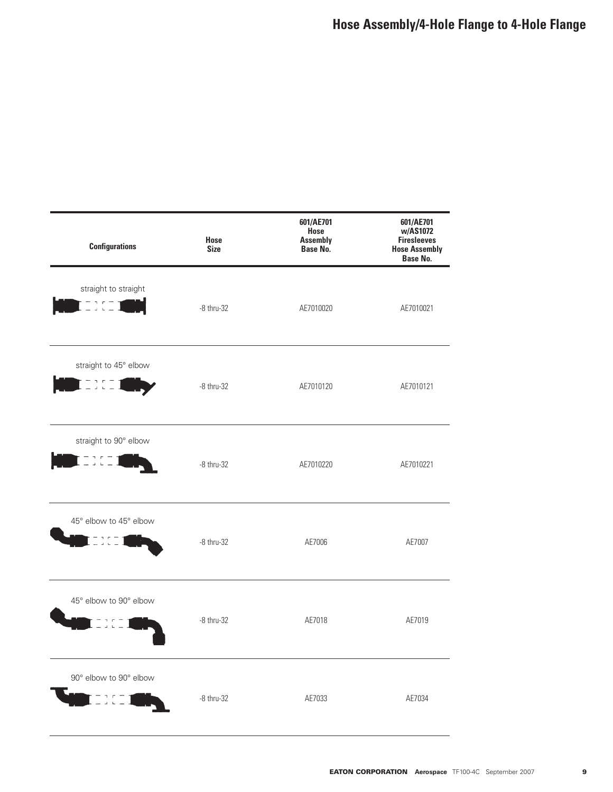| <b>Configurations</b>                                                                                | Hose<br><b>Size</b> | 601/AE701<br>Hose<br><b>Assembly</b><br><b>Base No.</b> | 601/AE701<br>w/AS1072<br><b>Firesleeves</b><br><b>Hose Assembly</b><br><b>Base No.</b> |
|------------------------------------------------------------------------------------------------------|---------------------|---------------------------------------------------------|----------------------------------------------------------------------------------------|
| straight to straight<br>7777                                                                         | -8 thru-32          | AE7010020                                               | AE7010021                                                                              |
| straight to 45° elbow<br>$\begin{array}{c} - & 1 & r = \\ - & 1 & r = \\ - & 1 & r = \\ \end{array}$ | -8 thru-32          | AE7010120                                               | AE7010121                                                                              |
| straight to 90° elbow                                                                                | $-8$ thru $-32$     | AE7010220                                               | AE7010221                                                                              |
| 45° elbow to 45° elbow                                                                               | -8 thru-32          | AE7006                                                  | AE7007                                                                                 |
| 45° elbow to 90° elbow                                                                               | $-8$ thru $-32$     | AE7018                                                  | AE7019                                                                                 |
| 90° elbow to 90° elbow<br>$\mathbf{L}$                                                               | $-8$ thru $-32$     | AE7033                                                  | AE7034                                                                                 |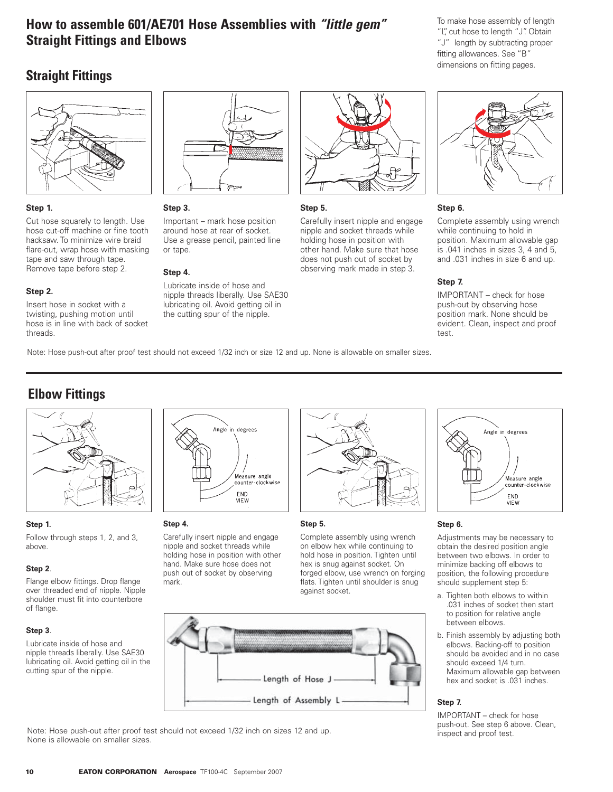## **How to assemble 601/AE701 Hose Assemblies with** *"little gem"* **Straight Fittings and Elbows**

To make hose assembly of length "L" cut hose to length "J". Obtain "J" length by subtracting proper fitting allowances. See "B" dimensions on fitting pages.

## **Straight Fittings**



#### **Step 1.**

Cut hose squarely to length. Use hose cut-off machine or fine tooth hacksaw. To minimize wire braid flare-out, wrap hose with masking tape and saw through tape. Remove tape before step 2.

#### **Step 2.**

Insert hose in socket with a twisting, pushing motion until hose is in line with back of socket threads.



#### **Step 3.**

Important – mark hose position around hose at rear of socket. Use a grease pencil, painted line or tape.

#### **Step 4.**

Lubricate inside of hose and nipple threads liberally. Use SAE30 lubricating oil. Avoid getting oil in the cutting spur of the nipple.



#### **Step 5.**

Carefully insert nipple and engage nipple and socket threads while holding hose in position with other hand. Make sure that hose does not push out of socket by observing mark made in step 3.



#### **Step 6.**

Complete assembly using wrench while continuing to hold in position. Maximum allowable gap is .041 inches in sizes 3, 4 and 5, and .031 inches in size 6 and up.

#### **Step 7.**

IMPORTANT – check for hose push-out by observing hose position mark. None should be evident. Clean, inspect and proof test.

Angle in degrees

Measure angle

END

VIEW

counter-clockwise

Note: Hose push-out after proof test should not exceed 1/32 inch or size 12 and up. None is allowable on smaller sizes.

### **Elbow Fittings**



#### **Step 1.**

Follow through steps 1, 2, and 3, above.

#### **Step 2**.

Flange elbow fittings. Drop flange over threaded end of nipple. Nipple shoulder must fit into counterbore of flange.

#### **Step 3**.

Lubricate inside of hose and nipple threads liberally. Use SAE30 lubricating oil. Avoid getting oil in the cutting spur of the nipple.



#### **Step 4.**

Carefully insert nipple and engage nipple and socket threads while holding hose in position with other hand. Make sure hose does not push out of socket by observing mark.



#### **Step 5.**

Complete assembly using wrench on elbow hex while continuing to hold hose in position. Tighten until hex is snug against socket. On forged elbow, use wrench on forging flats. Tighten until shoulder is snug against socket.



Note: Hose push-out after proof test should not exceed 1/32 inch on sizes 12 and up. None is allowable on smaller sizes.

### **Step 6.**

Adjustments may be necessary to obtain the desired position angle between two elbows. In order to minimize backing off elbows to position, the following procedure should supplement step 5:

- a. Tighten both elbows to within .031 inches of socket then start to position for relative angle between elbows.
- b. Finish assembly by adjusting both elbows. Backing-off to position should be avoided and in no case should exceed 1/4 turn. Maximum allowable gap between hex and socket is .031 inches.

#### **Step 7.**

IMPORTANT – check for hose push-out. See step 6 above. Clean, inspect and proof test.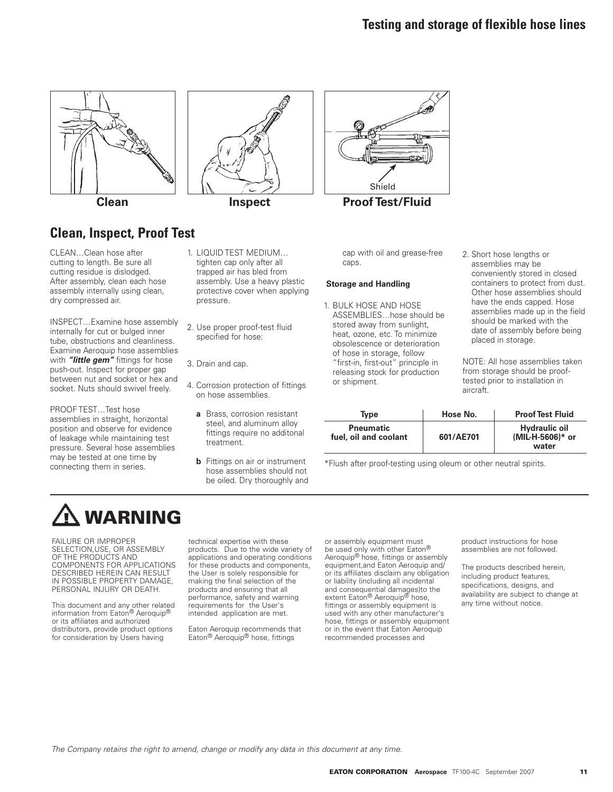# **Clean, Inspect, Proof Test**

CLEAN…Clean hose after cutting to length. Be sure all cutting residue is dislodged. After assembly, clean each hose assembly internally using clean, dry compressed air.

INSPECT…Examine hose assembly internally for cut or bulged inner tube, obstructions and cleanliness. Examine Aeroquip hose assemblies with *"little gem"* fittings for hose push-out. Inspect for proper gap between nut and socket or hex and socket. Nuts should swivel freely.

PROOF TEST…Test hose assemblies in straight, horizontal position and observe for evidence of leakage while maintaining test pressure. Several hose assemblies may be tested at one time by connecting them in series.

#### 1. LIQUID TEST MEDIUM… tighten cap only after all trapped air has bled from assembly. Use a heavy plastic protective cover when applying pressure.

- 2. Use proper proof-test fluid specified for hose:
- 3. Drain and cap.
- 4. Corrosion protection of fittings on hose assemblies.
	- **a** Brass, corrosion resistant steel, and aluminum alloy fittings require no additonal treatment.
	- **b** Fittings on air or instrument hose assemblies should not be oiled. Dry thoroughly and

 cap with oil and grease-free caps.

#### **Storage and Handling**

- 1. BULK HOSE AND HOSE ASSEMBLIES…hose should be stored away from sunlight, heat, ozone, etc. To minimize obsolescence or deterioration of hose in storage, follow "first-in, first-out" principle in releasing stock for production or shipment.
- 2. Short hose lengths or assemblies may be conveniently stored in closed containers to protect from dust. Other hose assemblies should have the ends capped. Hose assemblies made up in the field should be marked with the date of assembly before being placed in storage.

NOTE: All hose assemblies taken from storage should be prooftested prior to installation in aircraft.

| Tvpe                                      | Hose No.  | <b>Proof Test Fluid</b>                    |
|-------------------------------------------|-----------|--------------------------------------------|
| <b>Pneumatic</b><br>fuel, oil and coolant | 601/AE701 | Hydraulic oil<br>(MIL-H-5606)* or<br>water |

\*Flush after proof-testing using oleum or other neutral spirits.

## **! WARNING**

FAILURE OR IMPROPER SELECTION,USE, OR ASSEMBLY OF THE PRODUCTS AND COMPONENTS FOR APPLICATIONS DESCRIBED HEREIN CAN RESULT IN POSSIBLE PROPERTY DAMAGE, PERSONAL INJURY OR DEATH.

This document and any other related information from Eaton® Aeroquip® or its affiliates and authorized distributors, provide product options for consideration by Users having

technical expertise with these products. Due to the wide variety of applications and operating conditions for these products and components, the User is solely responsible for making the final selection of the products and ensuring that all performance, safety and warning requirements for the User's intended application are met.

Eaton Aeroquip recommends that<br>Eaton® Aeroquip® hose, fittings

*The Company retains the right to amend, change or modify any data in this document at any time.*

or assembly equipment must be used only with other Eaton<sup>®</sup> Aeroquip® hose, fittings or assembly equipment,and Eaton Aeroquip and/ or its affiliates disclaim any obligation or liability (including all incidental and consequential damages)to the extent Eaton® Aeroquip® hose, fittings or assembly equipment is used with any other manufacturer's hose, fittings or assembly equipment or in the event that Eaton Aeroquip recommended processes and

product instructions for hose assemblies are not followed.

The products described herein, including product features, specifications, designs, and availability are subject to change at any time without notice.